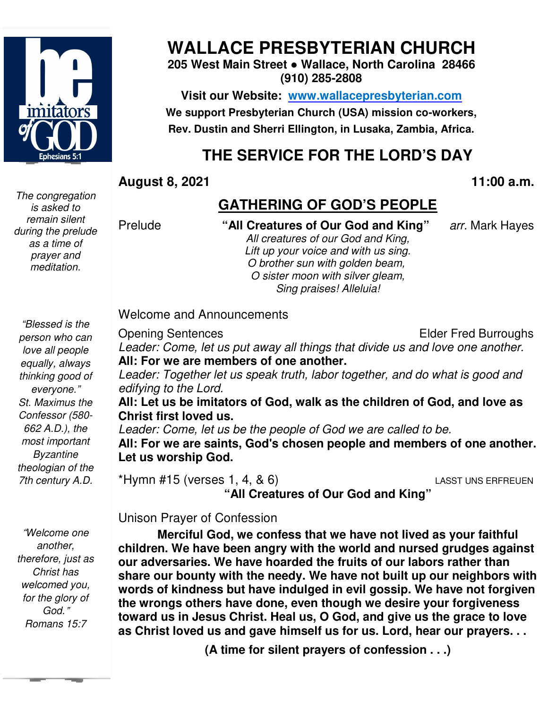

*The congregation is asked to remain silent during the prelude as a time of prayer and meditation.* 

# **WALLACE PRESBYTERIAN CHURCH**

**205 West Main Street ● Wallace, North Carolina 28466 (910) 285-2808** 

**Visit our Website: www.wallacepresbyterian.com** We support Presbyterian Church (USA) mission co-workers, **Rev. Dustin and Sherri Ellington, in Lusaka, Zambia, Africa. Sherri Ellington,** 

# **THE SERVICE FOR THE LORD'S DAY**

**, 11:00 a.m**

### **GATHERING OF GOD'S PEOPLE**

 $\overline{\phantom{a}}$ 

#### Prelude **The "All Creatures of Our God and King"** arr. Mark Hayes *All creatures of our God and King,* Lift up your voice and with us sing. *O brother sun with golden beam, beam, O sister moon with silver gleam, Sing praises! Alleluia!*

*"Blessed is the person who can love all people equally, always thinking good of everyone." St. Maximus the Confessor (580- 662 A.D.), the most important Byzantine theologian of the 7th century A.D.* 

Opening Sentences Leader: Come, let us put away all things that divide us and love one another. **All: For we are members of one another. one Elder Fred Burroughs** 

Leader: Together let us speak truth, labor together, and do what is good and *edifying to the Lord.* 

**All: Let us be imitators of God, walk as the children of God, and love as us be Christ first loved us.** 

Leader: Come, let us be the people of God we are called to be.

**All: For we are saints, God's chosen people and members of one another. one Let us worship God.** 

\*Hymn #15 (verses  $1, 4, 8, 6$ )

Welcome and Announcements and Announcements

LASST UNS ERFREUEN

"All Creatures of Our God and King"

Unison Prayer of Confession Unison Prayer of

**Merciful God, we confess that we have not lived as your faithful children. We have been angry with the world and nursed grudges against our adversaries. We have hoarded the fruits of our labors rather than share our bounty with the needy. We have not built up our neighbors words of kindness but have indulged in evil gossip. We have not forgiven the wrongs others have done, even though we desire your forgiveness toward us in Jesus Christ. Heal us, O God, and give us the grace to love**  as Christ loved us and gave himself us for us. Lord, hear our prayers. . . children. We have been angry with the world and nursed grudges agains<br>our adversaries. We have hoarded the fruits of our labors rather than<br>share our bounty with the needy. We have not built up our neighbors wi<br>words of ki 11:00 **a.m.**<br> **(AATHERING OF GOD'S PEOPLE**<br>
"All Creatures of Our God and King,"<br>
All creatures of our God and King,<br>
Lift up your voice and with us sing.<br> *Chother sum with sjloken beam*,<br> *Ching praises! Alleluia!*<br>
Osis **the God, walk as the children of God, and love as<br>
first loved us.**<br>
first loved us.<br>
The God we are called to be.<br>
The wave are saints, God's chosen people and members of one another.<br>
worship God.<br> **the Fig. 1.4, 8.6**<br>

**(A time for silent prayers of confession . . .)**

"*Welcome one another, therefore, just as Christ has welcomed you, for the glory of God.*" *Romans 15:7* 

# **August 8, 2021**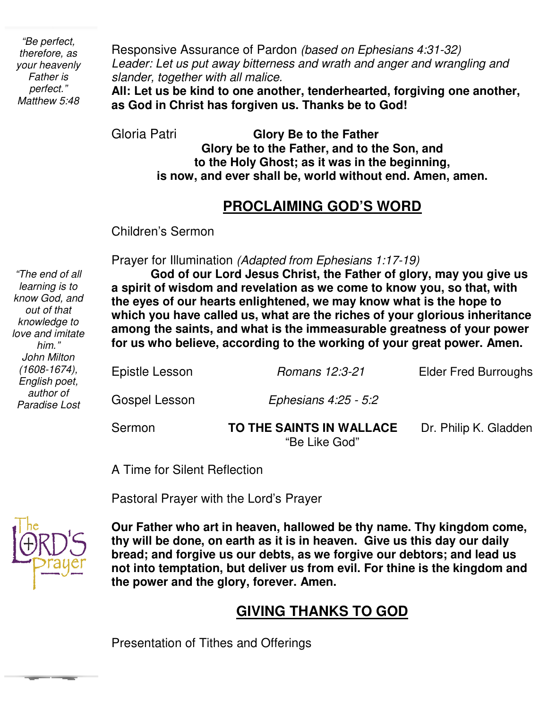*"Be perfect, therefore, as your heavenly Father is perfect." Matthew 5:48* 

Responsive Assurance of Pardon *(based on Ephesians 4:31-32) Leader: Let us put away bitterness and wrath and anger and wrangling and slander, together with all malice.* 

**All: Let us be kind to one another, tenderhearted, forgiving one another, as God in Christ has forgiven us. Thanks be to God!**

Gloria Patri **Glory Be to the Father Glory be to the Father, and to the Son, and to the Holy Ghost; as it was in the beginning, is now, and ever shall be, world without end. Amen, amen.** 

#### **PROCLAIMING GOD'S WORD**

Children's Sermon

Prayer for Illumination *(Adapted from Ephesians 1:17-19)*

 **a spirit of wisdom and revelation as we come to know you, so that, with the eyes of our hearts enlightened, we may know what is the hope to God of our Lord Jesus Christ, the Father of glory, may you give us which you have called us, what are the riches of your glorious inheritance among the saints, and what is the immeasurable greatness of your power for us who believe, according to the working of your great power. Amen.**

| Sermon         | TO THE SAINTS IN WALLACE<br>"Be Like God" | Dr. Philip K. Gladden       |
|----------------|-------------------------------------------|-----------------------------|
| Gospel Lesson  | Ephesians 4:25 - 5:2                      |                             |
| Epistle Lesson | Romans 12:3-21                            | <b>Elder Fred Burroughs</b> |

A Time for Silent Reflection

Pastoral Prayer with the Lord's Prayer



 **thy will be done, on earth as it is in heaven. Give us this day our daily Our Father who art in heaven, hallowed be thy name. Thy kingdom come, bread; and forgive us our debts, as we forgive our debtors; and lead us not into temptation, but deliver us from evil. For thine is the kingdom and the power and the glory, forever. Amen.**

# **GIVING THANKS TO GOD**

Presentation of Tithes and Offerings

*"The end of all learning is to know God, and out of that knowledge to love and imitate him." John Milton (1608-1674), English poet, author of Paradise Lost*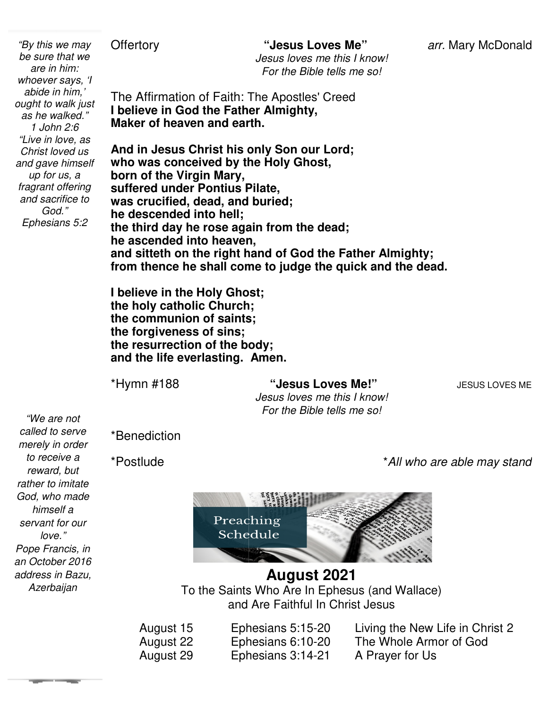**Offertory** 

*"By this we may be sure that we are in him: whoever says, 'I abide in him,'* 

*as he walked." 1 John 2:6* 

*Christ loved us and gave himself up for us, a fragrant offering and sacrifice to God." Ephesians 5:2*

*Jesus loves me this I know! For the Bible tells me so!*

The Affirmation of Faith: The Apostles' Creed **I believe in God the Father Almighty, Maker of heaven and earth.** *ought to walk just "Live in love, as* 

**And in Jesus Christ his only Son our Lord;** Maker of heaven and earth.<br>And in Jesus Christ his only Son our Lord;<br>who was conceived by the Holy Ghost, **born of the Virgin Mary, suffered under Pontius Pilate Pilate, was crucified, dead, and buried buried; he descended into hell;** the third day he rose again from the dead; **he ascended into heaven ascended heaven, and sitteth on the right hand of God the Father Almighty Father Almighty; from thence he shall come to judge the quick and the dead shall the dead.** 

**I believe in the Holy Ghost; the holy catholic Church holy Church; the communion of saints saints; the forgiveness of sins; the resurrection of the body of body; and the life everlasting. Amen.** 

\*Hymn #188

\*Benediction

\*Postlude

"Jesus Loves Me!" *Jesus loves me this I know! For the Bible tells me so!* 

**JESUS LOVES ME** 

\**All who are able may stand*

*"We are not called to serve merely in order to receive a reward, but rather to imitate God, who made himself a servant for our love." Pope Francis, in an October 2016 address in Bazu,* 

Preaching Schedule

#### **August 2021**

Azerbaijan **To the Saints Who Are In Ephesus (and Wallace)**<br>and Are Faithful In Christ Jesus and Are Faithful In Christ Jesus

August 15 Ephesians 5:15-20 August 22 Ephesians 6:10 August 29 Ephesians 3:14

5:15-20 Living the New Life in Christ 2The Whole Armor of God A Prayer for Us